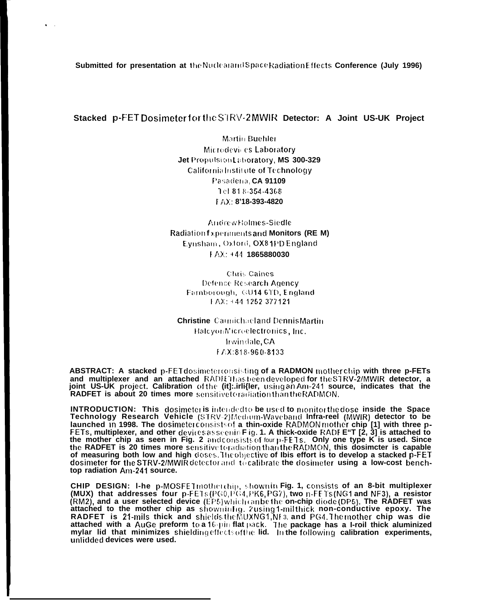Submitted for presentation at the Nuclearand Space Radiation Effects Conference (July 1996)

 $\bullet$  .

Stacked p-FET Dosimeter for the STRV-2 MWIR Detector: A Joint US-UK Project

Martin Buehler Microdevices Laboratory Jet Propulsion Laboratory, MS 300-329 California Institute of Technology Pasadena, CA 91109 1cl 818-354-4368 FAX: 8'18-393-4820

Andrew Holmes-Siedle **Radiation fxperiments and Monitors (RE M)** Eynsham, Oxford, OX8 1PD England  $FAX: +44$  1865880030

**Chris Caines** Defence Research Agency Famborough, GU14 6TD, England FAX: +44 1252 377121

**Christine** Carmichaeland Dennis Martin HalcyonMicroelectronics, Inc. Irwindale, CA FAX:818-960-8133

**ABSTRACT:** A stacked p-FET dosimeter consisting of a RADMON mother chip with three p-FETs and multiplexer and an attached RADE thas been developed for the STRV-2/MWIR detector, a joint US-UK project. Calibration of the (it]:.irli{ler, using an Am-241 source, indicates that the RADFET is about 20 times more sensitivetoradiation than the RADMON.

INTRODUCTION: This dosimeter is intended to be used to monitor the dose inside the Space<br>Technology Research Vehicle (STRV-2)Medium-Waveband Infra-reel (MWIR) detector to be Transfer of the Handle Contract and the RADMON mother chip [1] with three p-<br>FETs, multiplexer, and other devices asseenin Fig. 1. A thick-oxide RADF E"T [2, 3] is attached to<br>the mother chip as seen in Fig. 2 and consists of measuring both low and high doses. Theobjective of Ibis effort is to develop a stacked p-FET dosimeter for the STRV-2/MWIR detector and to calibrate the dosimeter using a low-cost benchtop radiation Am-241 source.

CHIP DESIGN: I-he p-MOSFETmotherchip, shownin Fig. 1, consists of an 8-bit multiplexer (MUX) that addresses four p-FETs (PG0,PG4,PK6,PG7), two n-FETs (NG1 and NF3), a resistor (RM2), and a user selected device (EP5)which can be the on-chip diode (DP5). The RADFET was<br>attached to the mother chip as shownin fig. 2 using 1-milithick non-conductive epoxy. The<br>RADFET is 21-mils thick and shields the unlidded devices were used.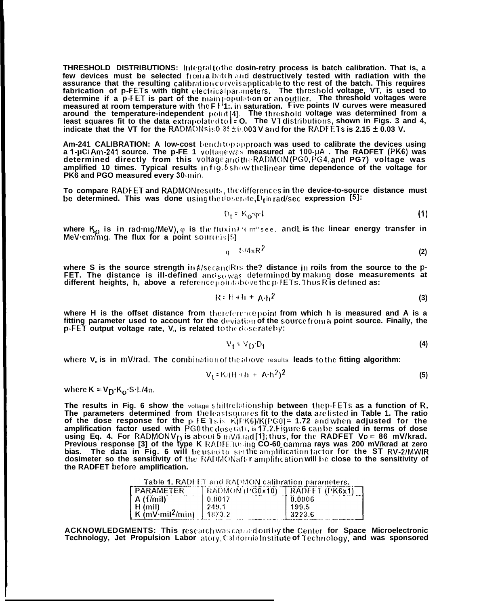**THRESHOLD DISTRIBUTIONS:** Integral to the dosin-retry process is batch calibration. That is, a few devices must be selected from a batch and destructively tested with radiation with the assurance that the resulting calibration curve is applicable to the rest of the batch. This requires fabrication of p-FETs with tight electrical parameters. The threshold voltage, VT, is used to determine if a p-FET is part of the mainpopulation or an outlier. The threshold voltages were measured at room temperature with the F1'1. in saturation. Five points IV curves were measured around the temperature-independent point[4]. The threshold voltage was determined from a<br>least squares fit to the data extrapolated to I = 0. The VT distributions, shown in Figs. 3 and 4,<br>indicate that the VT for the RADMO

Am-241 CALIBRATION: A low-cost benchtopapproach was used to calibrate the devices using a 1-µCi Am-241 source. The p-FE 1 voltage was measured at 100-µA. The RADFET (PK6) was determined directly from this voltage and the RADMON (PG0, PG4, and PG7) voltage was amplified 10 times. Typical results in fig. & show the linear time dependence of the voltage for PK6 and PGO measured every 30-min.

To compare RADFET and RADMONresults, the differences in the device-to-source distance must be determined. This was done using the doserate,  $D_f$  in rad/sec expression [5]:

$$
D_1 = K_0 \cdot \varphi \cdot l \tag{1}
$$

where  $K_p$  is in radimg/MeV),  $\varphi$  is the flux in  $k$  can<sup>2</sup> see, and L is the linear energy transfer in MeV cm<sup>2</sup>mg. The flux for a point source is[5]:

$$
1 \quad \text{S/4}\pi\text{R}^2 \tag{2}
$$

where S is the source strength in#/secandRis the? distance in roils from the source to the p-FET. The distance is ill-defined and  $\zeta_0$  was determined by making dose measurements at different heights, h, above a reference pointabove the p-FETs. Thus R is defined as:

$$
R = H + H + A \cdot h^2 \tag{3}
$$

where H is the offset distance from thereferencepoint from which h is measured and A is a fitting parameter used to account for the deviation of the source from a point source. Finally, the p-FET output voltage rate, V<sub>n</sub> is related to the doserate by:

$$
V_1 = V_D \cdot D_1 \tag{4}
$$

where  $V<sub>0</sub>$  is in mV/rad. The combination of the above results leads to the fitting algorithm:

$$
V_1 = K/(H + h + A \cdot h^2)^2 \tag{5}
$$

where  $K = V_D \cdot K_O \cdot S \cdot L/4\pi$ .

The results in Fig. 6 show the voltage shiftrelationship between the p-FETs as a function of R. The parameters determined from the least squares fit to the data are listed in Table 1. The ratio The parameters determined from the least squares fit to the data are listed in Table 1. The ratio<br>of the dose response for the p-FE 1sis K(FK6)/K(PG0) = 1.72 and when adjusted for the<br>amplification factor used with PG0 th the RADFET before amplification.

Table 1. RADFET and RADMON calibration parameters.

| <b>PARAMETER</b> | $RADMON$ (PG0x10) | $\left[$ RADFET (PK6x1) |
|------------------|-------------------|-------------------------|
| A(1/mil)         | 0.0017            | 0.0006                  |
|                  |                   | 199.5                   |
|                  |                   | 3223.6                  |

ACKNOWLEDGMENTS: This research was carried outby the Center for Space Microelectronic Technology, Jet Propulsion Labor atory, California Institute of Technology, and was sponsored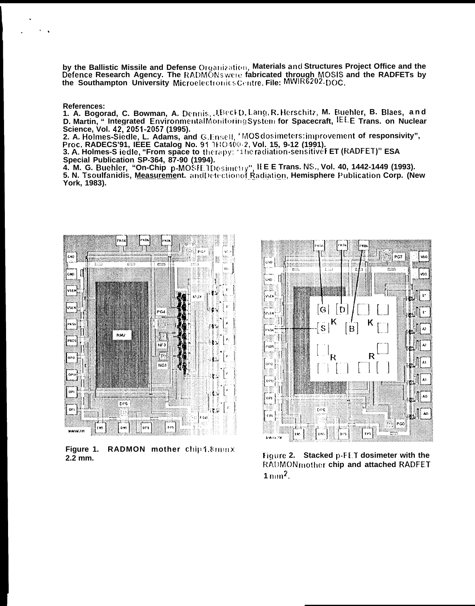by the Ballistic Missile and Defense Organization, Materials and Structures Project Office and the Defence Research Agency. The RADMONs were fabricated through MOSIS and the RADFETs by the Southampton University Microelectronics Centre. File: MWIR6202.DOC.

**References:** 

 $\ddot{\phantom{a}}$ 

1. A. Bogorad, C. Bowman, A. Dennis, J.BeckD. Lang, R. Herschitz, M. Buehler, B. Blaes, and D. Martin, "Integrated EnvironmentalMonitoringSystem for Spacecraft, IEEE Trans. on Nuclear

Science, Vol. 42, 2051-2057 (1995).<br>2. A. Holmes-Siedle, L. Adams, and G.Ensell, 'MOS dosimeters: improvement of responsivity",<br>Proc. RADECS'91, IEEE Catalog No. 91 1HO 400-2, Vol. 15, 9-12 (1991).

3. A. Holmes-S iedle, "From space to therapy: "The radiation-sensitive FET (RADFET)" ESA Special Publication SP-364, 87-90 (1994).

4. M. G. Buehler, "On-Chip p-MOSFE TDosimetry", IEE E Trans. NS., Vol. 40, 1442-1449 (1993). 5. N. Tsoulfanidis, Measurement. and Detection of Radiation, Hemisphere Publication Corp. (New York, 1983).



Figure 1. RADMON mother chip 1.8 mmx 2.2 mm.



Figure 2. Stacked p-FET dosimeter with the RADMONmother chip and attached RADFET  $1 \text{mm}^2$ .